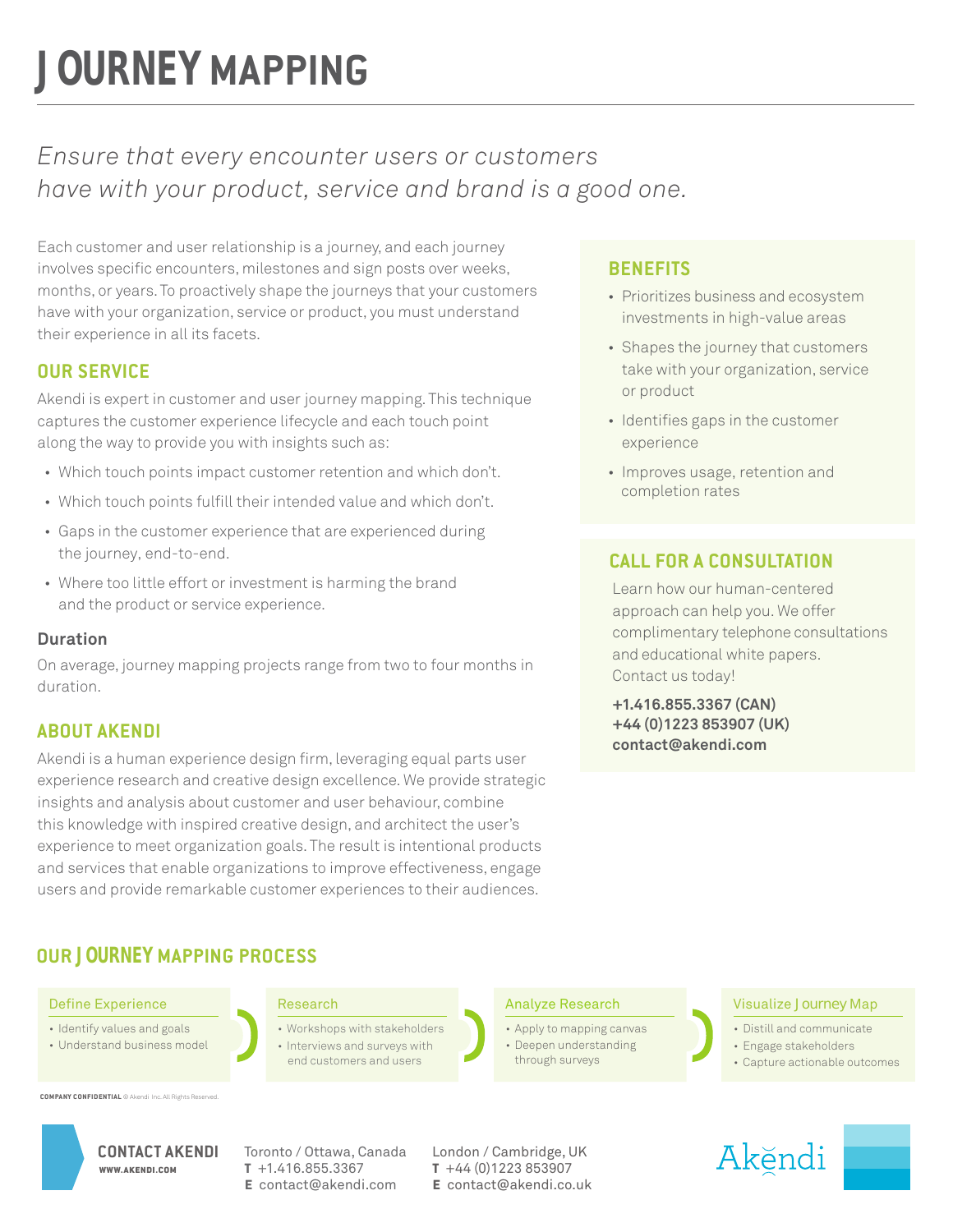# **JOURNEY MAPPING**

### *Ensure that every encounter users or customers have with your product, service and brand is a good one.*

Each customer and user relationship is a journey, and each journey involves specific encounters, milestones and sign posts over weeks, months, or years. To proactively shape the journeys that your customers have with your organization, service or product, you must understand their experience in all its facets.

#### **OUR SERVICE**

Akendi is expert in customer and user journey mapping. This technique captures the customer experience lifecycle and each touch point along the way to provide you with insights such as:

- Which touch points impact customer retention and which don't.
- Which touch points fulfill their intended value and which don't.
- Gaps in the customer experience that are experienced during the journey, end-to-end.
- Where too little effort or investment is harming the brand and the product or service experience.

#### **Duration**

On average, journey mapping projects range from two to four months in duration.

#### **ABOUT AKENDI**

Akendi is a human experience design firm, leveraging equal parts user experience research and creative design excellence. We provide strategic insights and analysis about customer and user behaviour, combine this knowledge with inspired creative design, and architect the user's experience to meet organization goals. The result is intentional products and services that enable organizations to improve effectiveness, engage users and provide remarkable customer experiences to their audiences.

### **OUR JOURNEY MAPPING PROCESS**

#### Define Experience **Research**

- Identify values and goals
- Understand business model

• Workshops with stakeholders • Interviews and surveys with end customers and users

#### **BENEFITS**

- Prioritizes business and ecosystem investments in high-value areas
- Shapes the journey that customers take with your organization, service or product
- Identifies gaps in the customer experience
- Improves usage, retention and completion rates

#### **CALL FOR A CONSULTATION**

Learn how our human-centered approach can help you. We offer complimentary telephone consultations and educational white papers. Contact us today!

**+1.416.855.3367 (CAN) +44 (0)1223 853907 (UK) contact@akendi.com**

#### Analyze Research

- Apply to mapping canvas
- Deepen understanding
- through surveys

#### Visualize Journey Map

- Distill and communicate
- Engage stakeholders
- Capture actionable outcomes

**COMPANY CONFIDENTIAL** © Akendi Inc. All



**t** +1.416.855.3367 **e** contact@akendi.com

CONTACT AKENDI Toronto / Ottawa, Canada London / Cambridge, UK **t** +44 (0)1223 853907 **e** contact@akendi.co.uk